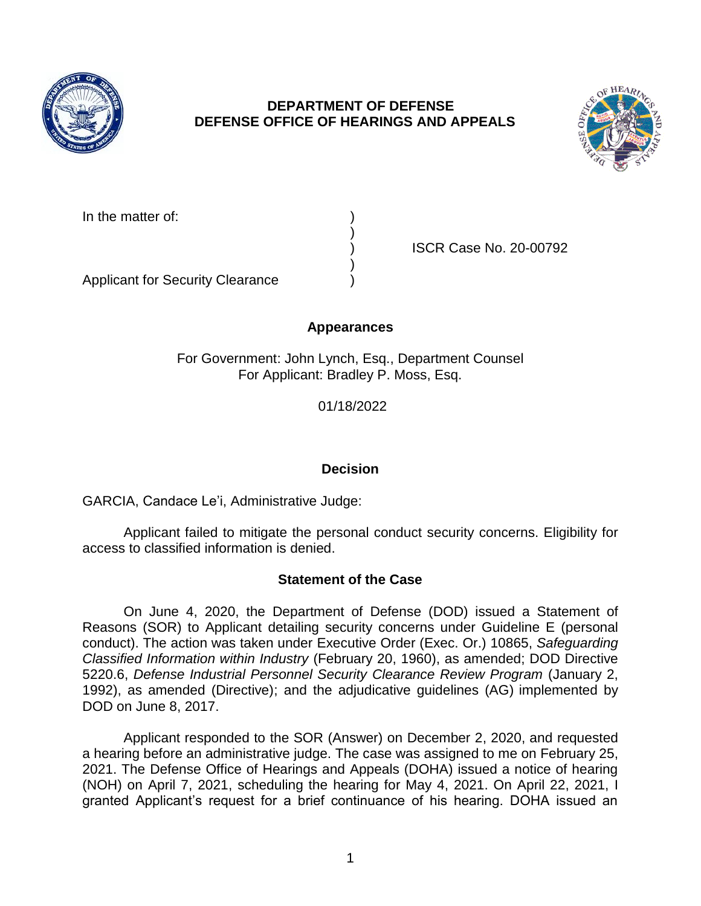

# **DEPARTMENT OF DEFENSE DEFENSE OFFICE OF HEARINGS AND APPEALS**



In the matter of:

) ISCR Case No. 20-00792

Applicant for Security Clearance )

# **Appearances**

)

)

For Government: John Lynch, Esq., Department Counsel For Applicant: Bradley P. Moss, Esq.

01/18/2022

# **Decision**

GARCIA, Candace Le'i, Administrative Judge:

 Applicant failed to mitigate the personal conduct security concerns. Eligibility for access to classified information is denied.

### **Statement of the Case**

 On June 4, 2020, the Department of Defense (DOD) issued a Statement of Reasons (SOR) to Applicant detailing security concerns under Guideline E (personal conduct). The action was taken under Executive Order (Exec. Or.) 10865, *Safeguarding Classified Information within Industry* (February 20, 1960), as amended; DOD Directive 5220.6, *Defense Industrial Personnel Security Clearance Review Program* (January 2, 1992), as amended (Directive); and the adjudicative guidelines (AG) implemented by DOD on June 8, 2017.

 Applicant responded to the SOR (Answer) on December 2, 2020, and requested 2021. The Defense Office of Hearings and Appeals (DOHA) issued a notice of hearing (NOH) on April 7, 2021, scheduling the hearing for May 4, 2021. On April 22, 2021, I granted Applicant's request for a brief continuance of his hearing. DOHA issued an a hearing before an administrative judge. The case was assigned to me on February 25,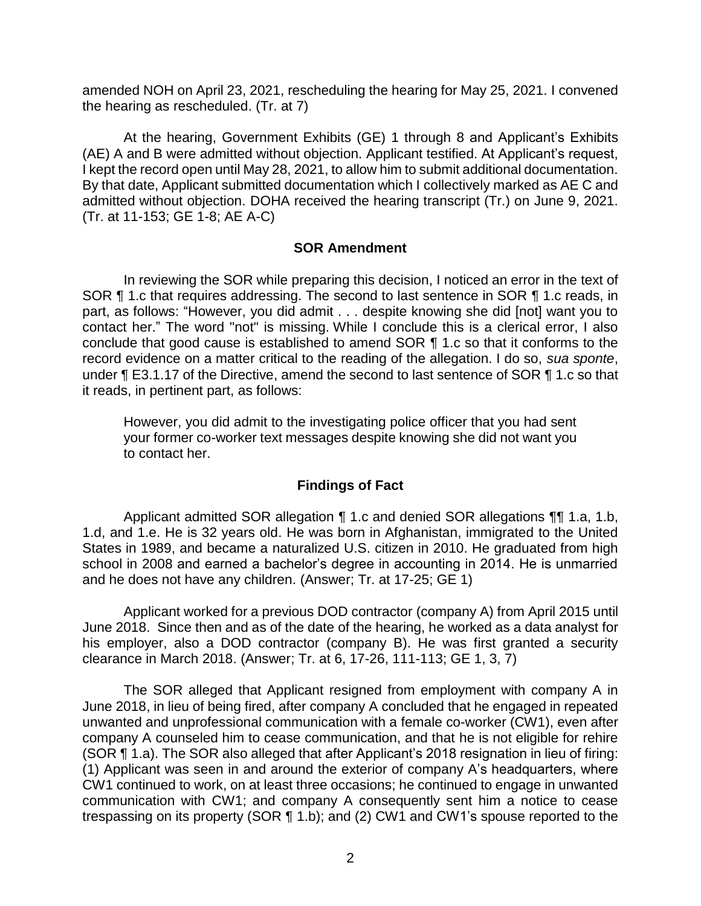amended NOH on April 23, 2021, rescheduling the hearing for May 25, 2021. I convened the hearing as rescheduled. (Tr. at 7)

 admitted without objection. DOHA received the hearing transcript (Tr.) on June 9, 2021. At the hearing, Government Exhibits (GE) 1 through 8 and Applicant's Exhibits (AE) A and B were admitted without objection. Applicant testified. At Applicant's request, I kept the record open until May 28, 2021, to allow him to submit additional documentation. By that date, Applicant submitted documentation which I collectively marked as AE C and (Tr. at 11-153; GE 1-8; AE A-C)

### **SOR Amendment**

 In reviewing the SOR while preparing this decision, I noticed an error in the text of SOR ¶ 1.c that requires addressing. The second to last sentence in SOR ¶ 1.c reads, in part, as follows: "However, you did admit . . . despite knowing she did [not] want you to contact her." The word "not" is missing. While I conclude this is a clerical error, I also conclude that good cause is established to amend SOR ¶ 1.c so that it conforms to the record evidence on a matter critical to the reading of the allegation. I do so, *sua sponte*, under ¶ E3.1.17 of the Directive, amend the second to last sentence of SOR ¶ 1.c so that it reads, in pertinent part, as follows:

 However, you did admit to the investigating police officer that you had sent your former co-worker text messages despite knowing she did not want you to contact her.

### **Findings of Fact**

 1.d, and 1.e. He is 32 years old. He was born in Afghanistan, immigrated to the United States in 1989, and became a naturalized U.S. citizen in 2010. He graduated from high school in 2008 and earned a bachelor's degree in accounting in 2014. He is unmarried and he does not have any children. (Answer; Tr. at 17-25; GE 1) Applicant admitted SOR allegation ¶ 1.c and denied SOR allegations ¶¶ 1.a, 1.b,

 Applicant worked for a previous DOD contractor (company A) from April 2015 until June 2018. Since then and as of the date of the hearing, he worked as a data analyst for his employer, also a DOD contractor (company B). He was first granted a security clearance in March 2018. (Answer; Tr. at 6, 17-26, 111-113; GE 1, 3, 7)

The SOR alleged that Applicant resigned from employment with company A in June 2018, in lieu of being fired, after company A concluded that he engaged in repeated unwanted and unprofessional communication with a female co-worker (CW1), even after company A counseled him to cease communication, and that he is not eligible for rehire (SOR ¶ 1.a). The SOR also alleged that after Applicant's 2018 resignation in lieu of firing: (1) Applicant was seen in and around the exterior of company A's headquarters, where CW1 continued to work, on at least three occasions; he continued to engage in unwanted communication with CW1; and company A consequently sent him a notice to cease trespassing on its property (SOR ¶ 1.b); and (2) CW1 and CW1's spouse reported to the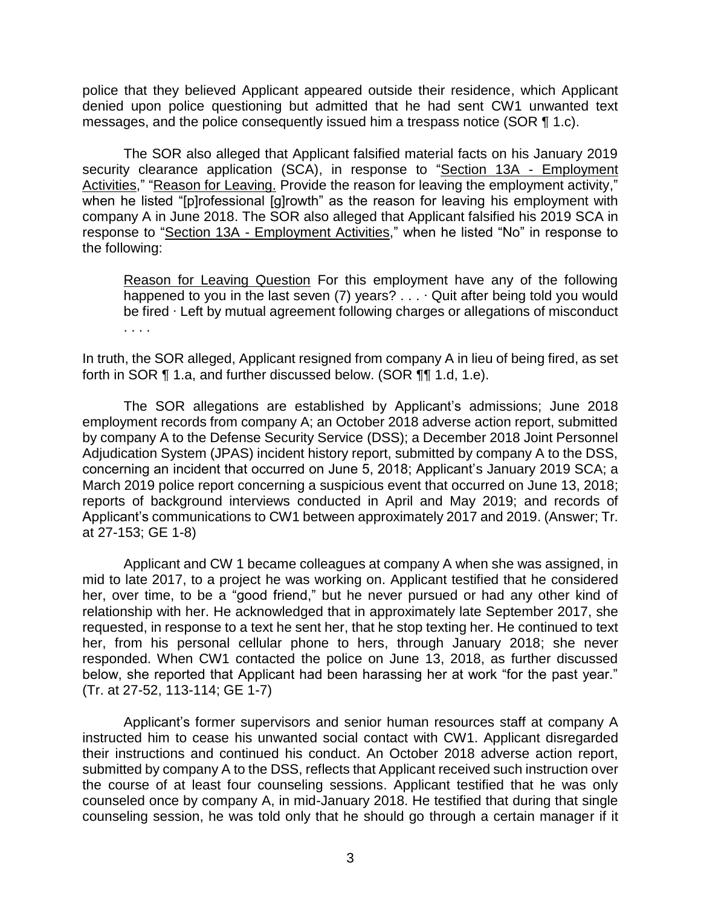police that they believed Applicant appeared outside their residence, which Applicant denied upon police questioning but admitted that he had sent CW1 unwanted text messages, and the police consequently issued him a trespass notice (SOR ¶ 1.c).

The SOR also alleged that Applicant falsified material facts on his January 2019 security clearance application (SCA), in response to "Section 13A - Employment Activities," "Reason for Leaving. Provide the reason for leaving the employment activity," when he listed "[p]rofessional [g]rowth" as the reason for leaving his employment with company A in June 2018. The SOR also alleged that Applicant falsified his 2019 SCA in response to "Section 13A - Employment Activities," when he listed "No" in response to the following:

Reason for Leaving Question For this employment have any of the following happened to you in the last seven (7) years? . . . Quit after being told you would be fired ∙ Left by mutual agreement following charges or allegations of misconduct . . . .

 In truth, the SOR alleged, Applicant resigned from company A in lieu of being fired, as set forth in SOR ¶ 1.a, and further discussed below. (SOR ¶¶ 1.d, 1.e).

 The SOR allegations are established by Applicant's admissions; June 2018 employment records from company A; an October 2018 adverse action report, submitted by company A to the Defense Security Service (DSS); a December 2018 Joint Personnel Adjudication System (JPAS) incident history report, submitted by company A to the DSS, concerning an incident that occurred on June 5, 2018; Applicant's January 2019 SCA; a March 2019 police report concerning a suspicious event that occurred on June 13, 2018; reports of background interviews conducted in April and May 2019; and records of Applicant's communications to CW1 between approximately 2017 and 2019. (Answer; Tr. at 27-153; GE 1-8)

 Applicant and CW 1 became colleagues at company A when she was assigned, in mid to late 2017, to a project he was working on. Applicant testified that he considered her, over time, to be a "good friend," but he never pursued or had any other kind of relationship with her. He acknowledged that in approximately late September 2017, she requested, in response to a text he sent her, that he stop texting her. He continued to text her, from his personal cellular phone to hers, through January 2018; she never responded. When CW1 contacted the police on June 13, 2018, as further discussed below, she reported that Applicant had been harassing her at work "for the past year." (Tr. at 27-52, 113-114; GE 1-7)

 instructed him to cease his unwanted social contact with CW1. Applicant disregarded their instructions and continued his conduct. An October 2018 adverse action report, submitted by company A to the DSS, reflects that Applicant received such instruction over the course of at least four counseling sessions. Applicant testified that he was only counseled once by company A, in mid-January 2018. He testified that during that single counseling session, he was told only that he should go through a certain manager if it Applicant's former supervisors and senior human resources staff at company A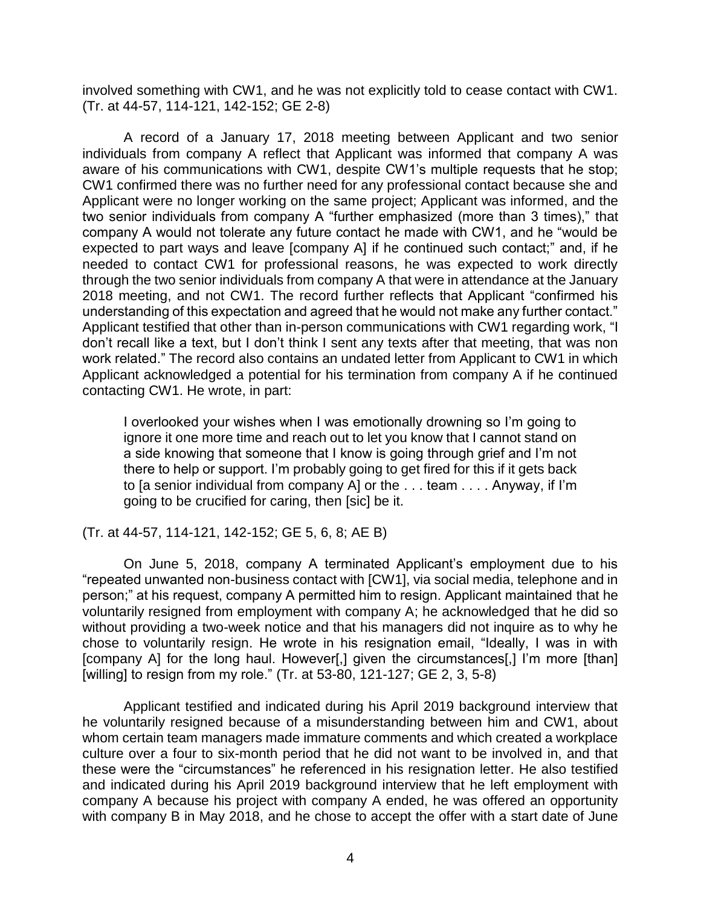involved something with CW1, and he was not explicitly told to cease contact with CW1. (Tr. at 44-57, 114-121, 142-152; GE 2-8)

 A record of a January 17, 2018 meeting between Applicant and two senior individuals from company A reflect that Applicant was informed that company A was aware of his communications with CW1, despite CW1's multiple requests that he stop; Applicant were no longer working on the same project; Applicant was informed, and the two senior individuals from company A "further emphasized (more than 3 times)," that company A would not tolerate any future contact he made with CW1, and he "would be expected to part ways and leave [company A] if he continued such contact;" and, if he needed to contact CW1 for professional reasons, he was expected to work directly through the two senior individuals from company A that were in attendance at the January 2018 meeting, and not CW1. The record further reflects that Applicant "confirmed his understanding of this expectation and agreed that he would not make any further contact." Applicant testified that other than in-person communications with CW1 regarding work, "I don't recall like a text, but I don't think I sent any texts after that meeting, that was non work related." The record also contains an undated letter from Applicant to CW1 in which Applicant acknowledged a potential for his termination from company A if he continued CW1 confirmed there was no further need for any professional contact because she and contacting CW1. He wrote, in part:

I overlooked your wishes when I was emotionally drowning so I'm going to ignore it one more time and reach out to let you know that I cannot stand on a side knowing that someone that I know is going through grief and I'm not there to help or support. I'm probably going to get fired for this if it gets back to [a senior individual from company A] or the . . . team . . . . Anyway, if I'm going to be crucified for caring, then [sic] be it.

(Tr. at 44-57, 114-121, 142-152; GE 5, 6, 8; AE B)

 On June 5, 2018, company A terminated Applicant's employment due to his "repeated unwanted non-business contact with [CW1], via social media, telephone and in person;" at his request, company A permitted him to resign. Applicant maintained that he voluntarily resigned from employment with company A; he acknowledged that he did so without providing a two-week notice and that his managers did not inquire as to why he chose to voluntarily resign. He wrote in his resignation email, "Ideally, I was in with [company A] for the long haul. However[,] given the circumstances[,] I'm more [than] [willing] to resign from my role." (Tr. at 53-80, 121-127; GE 2, 3, 5-8)

 Applicant testified and indicated during his April 2019 background interview that he voluntarily resigned because of a misunderstanding between him and CW1, about whom certain team managers made immature comments and which created a workplace culture over a four to six-month period that he did not want to be involved in, and that these were the "circumstances" he referenced in his resignation letter. He also testified and indicated during his April 2019 background interview that he left employment with company A because his project with company A ended, he was offered an opportunity with company B in May 2018, and he chose to accept the offer with a start date of June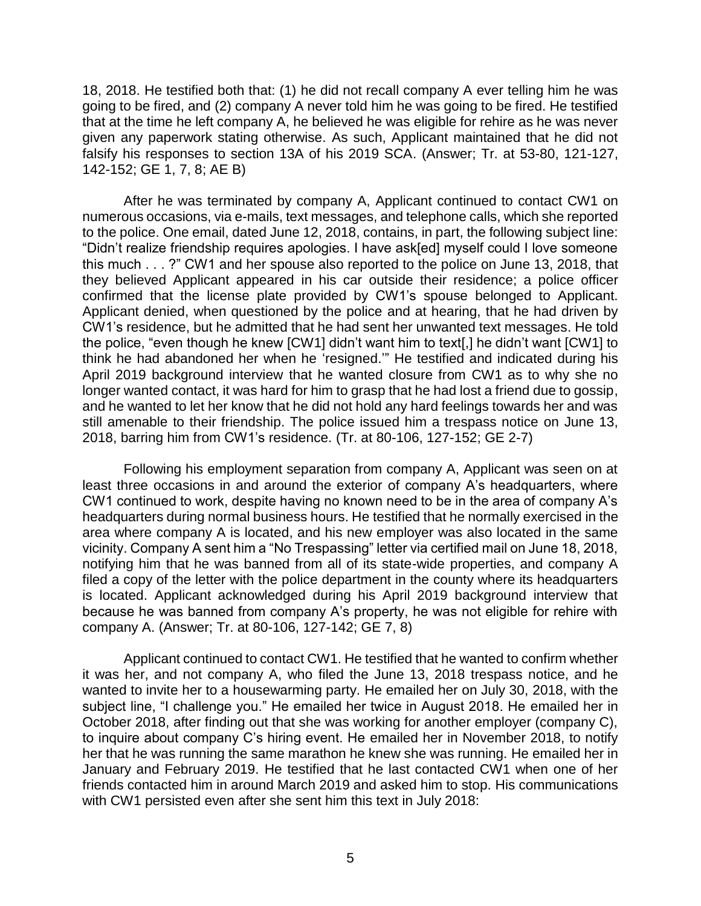18, 2018. He testified both that: (1) he did not recall company A ever telling him he was going to be fired, and (2) company A never told him he was going to be fired. He testified that at the time he left company A, he believed he was eligible for rehire as he was never given any paperwork stating otherwise. As such, Applicant maintained that he did not falsify his responses to section 13A of his 2019 SCA. (Answer; Tr. at 53-80, 121-127, 142-152; GE 1, 7, 8; AE B)

 After he was terminated by company A, Applicant continued to contact CW1 on numerous occasions, via e-mails, text messages, and telephone calls, which she reported to the police. One email, dated June 12, 2018, contains, in part, the following subject line: "Didn't realize friendship requires apologies. I have ask[ed] myself could I love someone this much . . . ?" CW1 and her spouse also reported to the police on June 13, 2018, that they believed Applicant appeared in his car outside their residence; a police officer confirmed that the license plate provided by CW1's spouse belonged to Applicant. Applicant denied, when questioned by the police and at hearing, that he had driven by CW1's residence, but he admitted that he had sent her unwanted text messages. He told the police, "even though he knew [CW1] didn't want him to text[,] he didn't want [CW1] to think he had abandoned her when he 'resigned.'" He testified and indicated during his April 2019 background interview that he wanted closure from CW1 as to why she no longer wanted contact, it was hard for him to grasp that he had lost a friend due to gossip, and he wanted to let her know that he did not hold any hard feelings towards her and was still amenable to their friendship. The police issued him a trespass notice on June 13, 2018, barring him from CW1's residence. (Tr. at 80-106, 127-152; GE 2-7)

 Following his employment separation from company A, Applicant was seen on at least three occasions in and around the exterior of company A's headquarters, where CW1 continued to work, despite having no known need to be in the area of company A's headquarters during normal business hours. He testified that he normally exercised in the area where company A is located, and his new employer was also located in the same vicinity. Company A sent him a "No Trespassing" letter via certified mail on June 18, 2018, notifying him that he was banned from all of its state-wide properties, and company A filed a copy of the letter with the police department in the county where its headquarters is located. Applicant acknowledged during his April 2019 background interview that because he was banned from company A's property, he was not eligible for rehire with company A. (Answer; Tr. at 80-106, 127-142; GE 7, 8)

 Applicant continued to contact CW1. He testified that he wanted to confirm whether it was her, and not company A, who filed the June 13, 2018 trespass notice, and he wanted to invite her to a housewarming party. He emailed her on July 30, 2018, with the October 2018, after finding out that she was working for another employer (company C), to inquire about company C's hiring event. He emailed her in November 2018, to notify her that he was running the same marathon he knew she was running. He emailed her in January and February 2019. He testified that he last contacted CW1 when one of her friends contacted him in around March 2019 and asked him to stop. His communications subject line, "I challenge you." He emailed her twice in August 2018. He emailed her in with CW1 persisted even after she sent him this text in July 2018: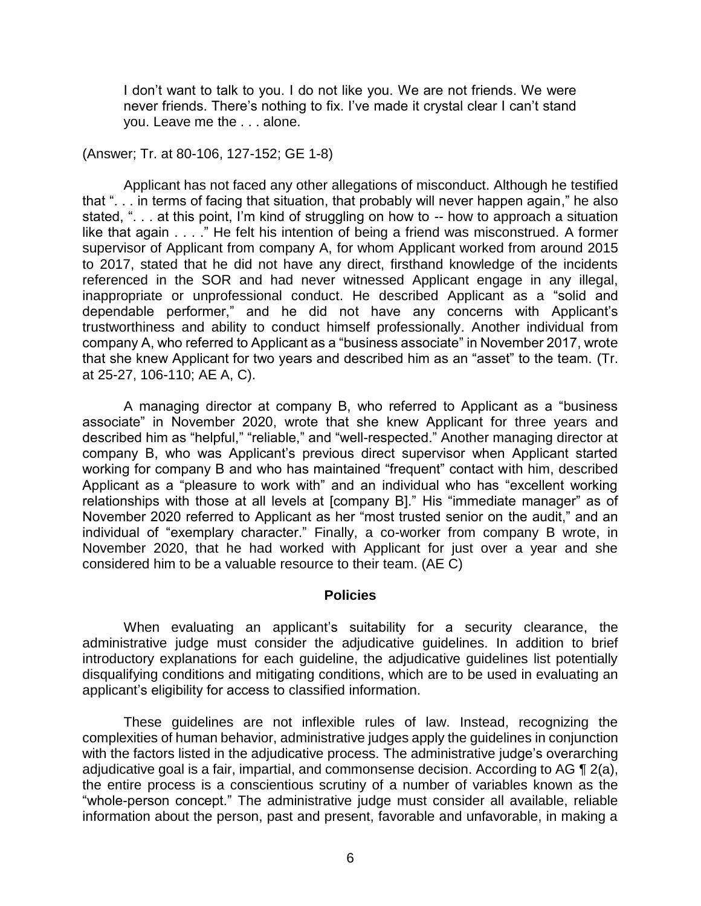I don't want to talk to you. I do not like you. We are not friends. We were never friends. There's nothing to fix. I've made it crystal clear I can't stand you. Leave me the . . . alone.

(Answer; Tr. at 80-106, 127-152; GE 1-8)

 that ". . . in terms of facing that situation, that probably will never happen again," he also stated, ". . . at this point, I'm kind of struggling on how to -- how to approach a situation like that again . . . ." He felt his intention of being a friend was misconstrued. A former supervisor of Applicant from company A, for whom Applicant worked from around 2015 to 2017, stated that he did not have any direct, firsthand knowledge of the incidents referenced in the SOR and had never witnessed Applicant engage in any illegal, dependable performer," and he did not have any concerns with Applicant's trustworthiness and ability to conduct himself professionally. Another individual from company A, who referred to Applicant as a "business associate" in November 2017, wrote that she knew Applicant for two years and described him as an "asset" to the team. (Tr. Applicant has not faced any other allegations of misconduct. Although he testified inappropriate or unprofessional conduct. He described Applicant as a "solid and at 25-27, 106-110; AE A, C).

 A managing director at company B, who referred to Applicant as a "business associate" in November 2020, wrote that she knew Applicant for three years and company B, who was Applicant's previous direct supervisor when Applicant started working for company B and who has maintained "frequent" contact with him, described Applicant as a "pleasure to work with" and an individual who has "excellent working relationships with those at all levels at [company B]." His "immediate manager" as of November 2020 referred to Applicant as her "most trusted senior on the audit," and an individual of "exemplary character." Finally, a co-worker from company B wrote, in November 2020, that he had worked with Applicant for just over a year and she described him as "helpful," "reliable," and "well-respected." Another managing director at considered him to be a valuable resource to their team. (AE C)

#### **Policies**

 When evaluating an applicant's suitability for a security clearance, the administrative judge must consider the adjudicative guidelines. In addition to brief introductory explanations for each guideline, the adjudicative guidelines list potentially disqualifying conditions and mitigating conditions, which are to be used in evaluating an applicant's eligibility for access to classified information.

 These guidelines are not inflexible rules of law. Instead, recognizing the complexities of human behavior, administrative judges apply the guidelines in conjunction with the factors listed in the adjudicative process. The administrative judge's overarching adjudicative goal is a fair, impartial, and commonsense decision. According to AG ¶ 2(a), the entire process is a conscientious scrutiny of a number of variables known as the "whole-person concept." The administrative judge must consider all available, reliable information about the person, past and present, favorable and unfavorable, in making a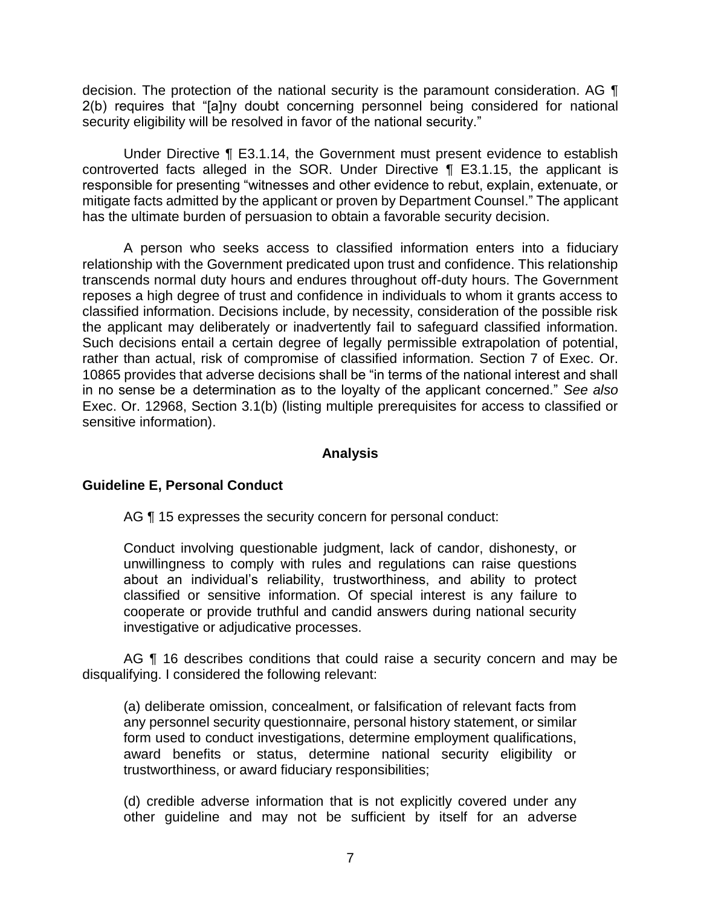decision. The protection of the national security is the paramount consideration. AG  $\P$  2(b) requires that "[a]ny doubt concerning personnel being considered for national security eligibility will be resolved in favor of the national security."

 Under Directive ¶ E3.1.14, the Government must present evidence to establish controverted facts alleged in the SOR. Under Directive ¶ E3.1.15, the applicant is responsible for presenting "witnesses and other evidence to rebut, explain, extenuate, or mitigate facts admitted by the applicant or proven by Department Counsel." The applicant has the ultimate burden of persuasion to obtain a favorable security decision.

 A person who seeks access to classified information enters into a fiduciary relationship with the Government predicated upon trust and confidence. This relationship transcends normal duty hours and endures throughout off-duty hours. The Government reposes a high degree of trust and confidence in individuals to whom it grants access to classified information. Decisions include, by necessity, consideration of the possible risk the applicant may deliberately or inadvertently fail to safeguard classified information. Such decisions entail a certain degree of legally permissible extrapolation of potential, rather than actual, risk of compromise of classified information. Section 7 of Exec. Or. 10865 provides that adverse decisions shall be "in terms of the national interest and shall in no sense be a determination as to the loyalty of the applicant concerned." *See also*  Exec. Or. 12968, Section 3.1(b) (listing multiple prerequisites for access to classified or sensitive information).

### **Analysis**

# **Guideline E, Personal Conduct**

AG ¶ 15 expresses the security concern for personal conduct:

Conduct involving questionable judgment, lack of candor, dishonesty, or unwillingness to comply with rules and regulations can raise questions about an individual's reliability, trustworthiness, and ability to protect classified or sensitive information. Of special interest is any failure to cooperate or provide truthful and candid answers during national security investigative or adjudicative processes.

AG ¶ 16 describes conditions that could raise a security concern and may be disqualifying. I considered the following relevant:

 any personnel security questionnaire, personal history statement, or similar form used to conduct investigations, determine employment qualifications, award benefits or status, determine national security eligibility or (a) deliberate omission, concealment, or falsification of relevant facts from trustworthiness, or award fiduciary responsibilities;

 (d) credible adverse information that is not explicitly covered under any other guideline and may not be sufficient by itself for an adverse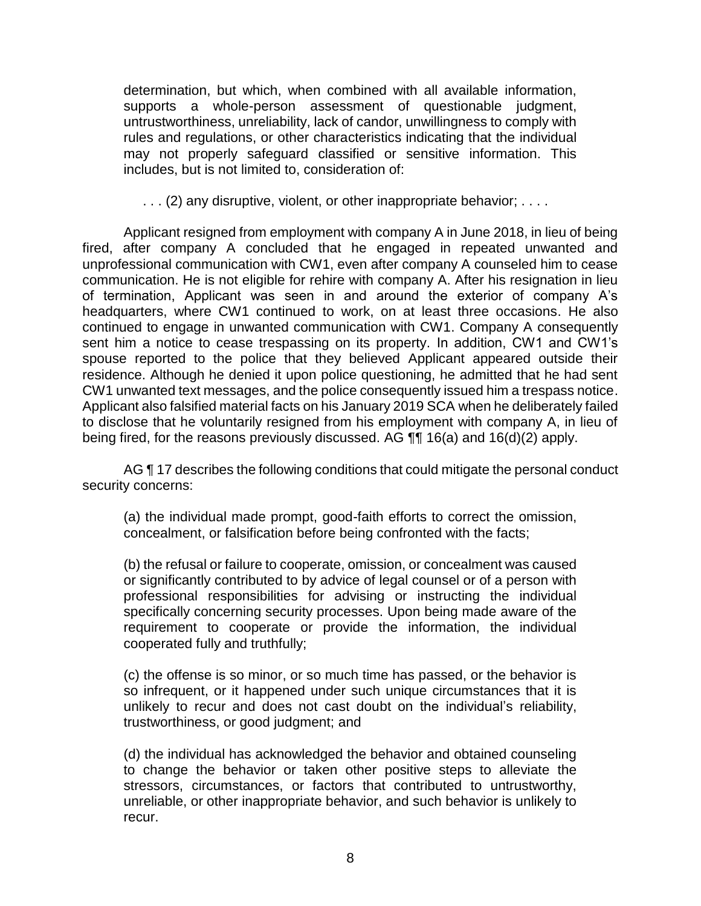determination, but which, when combined with all available information, untrustworthiness, unreliability, lack of candor, unwillingness to comply with rules and regulations, or other characteristics indicating that the individual may not properly safeguard classified or sensitive information. This supports a whole-person assessment of questionable judgment, includes, but is not limited to, consideration of:

... (2) any disruptive, violent, or other inappropriate behavior; ....

Applicant resigned from employment with company A in June 2018, in lieu of being fired, after company A concluded that he engaged in repeated unwanted and unprofessional communication with CW1, even after company A counseled him to cease communication. He is not eligible for rehire with company A. After his resignation in lieu of termination, Applicant was seen in and around the exterior of company A's headquarters, where CW1 continued to work, on at least three occasions. He also continued to engage in unwanted communication with CW1. Company A consequently sent him a notice to cease trespassing on its property. In addition, CW1 and CW1's spouse reported to the police that they believed Applicant appeared outside their residence. Although he denied it upon police questioning, he admitted that he had sent CW1 unwanted text messages, and the police consequently issued him a trespass notice. Applicant also falsified material facts on his January 2019 SCA when he deliberately failed to disclose that he voluntarily resigned from his employment with company A, in lieu of being fired, for the reasons previously discussed. AG ¶¶ 16(a) and 16(d)(2) apply.

AG ¶ 17 describes the following conditions that could mitigate the personal conduct security concerns:

 (a) the individual made prompt, good-faith efforts to correct the omission, concealment, or falsification before being confronted with the facts;

 (b) the refusal or failure to cooperate, omission, or concealment was caused or significantly contributed to by advice of legal counsel or of a person with professional responsibilities for advising or instructing the individual specifically concerning security processes. Upon being made aware of the requirement to cooperate or provide the information, the individual cooperated fully and truthfully;

 (c) the offense is so minor, or so much time has passed, or the behavior is so infrequent, or it happened under such unique circumstances that it is unlikely to recur and does not cast doubt on the individual's reliability, trustworthiness, or good judgment; and

 (d) the individual has acknowledged the behavior and obtained counseling to change the behavior or taken other positive steps to alleviate the stressors, circumstances, or factors that contributed to untrustworthy, unreliable, or other inappropriate behavior, and such behavior is unlikely to recur.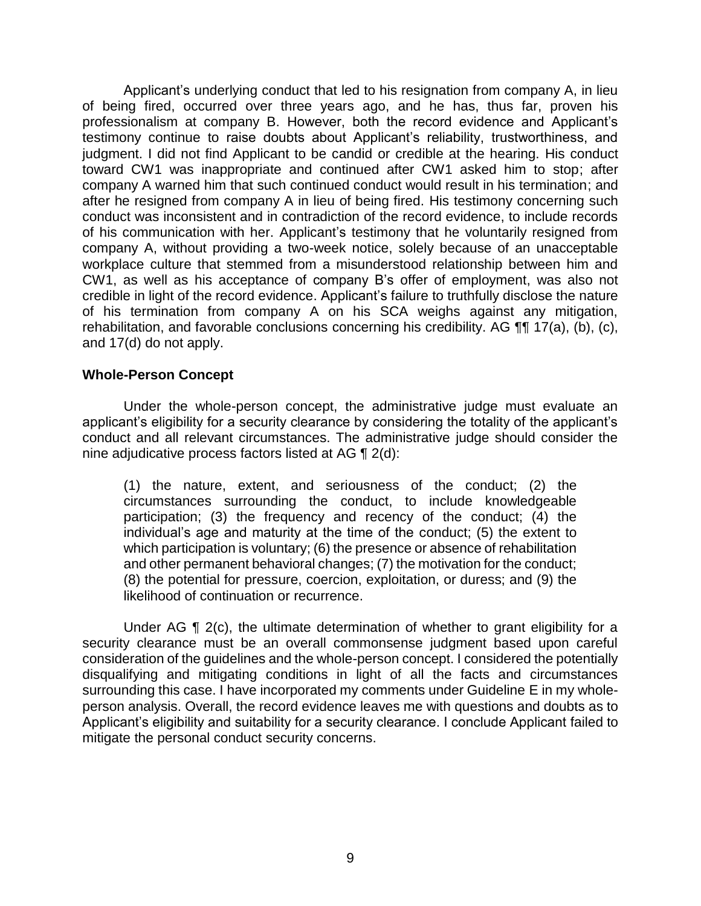Applicant's underlying conduct that led to his resignation from company A, in lieu of being fired, occurred over three years ago, and he has, thus far, proven his professionalism at company B. However, both the record evidence and Applicant's judgment. I did not find Applicant to be candid or credible at the hearing. His conduct toward CW1 was inappropriate and continued after CW1 asked him to stop; after company A warned him that such continued conduct would result in his termination; and after he resigned from company A in lieu of being fired. His testimony concerning such conduct was inconsistent and in contradiction of the record evidence, to include records of his communication with her. Applicant's testimony that he voluntarily resigned from company A, without providing a two-week notice, solely because of an unacceptable workplace culture that stemmed from a misunderstood relationship between him and CW1, as well as his acceptance of company B's offer of employment, was also not credible in light of the record evidence. Applicant's failure to truthfully disclose the nature of his termination from company A on his SCA weighs against any mitigation, rehabilitation, and favorable conclusions concerning his credibility. AG  $\P\P$  17(a), (b), (c), testimony continue to raise doubts about Applicant's reliability, trustworthiness, and and 17(d) do not apply.

### **Whole-Person Concept**

Under the whole-person concept, the administrative judge must evaluate an applicant's eligibility for a security clearance by considering the totality of the applicant's conduct and all relevant circumstances. The administrative judge should consider the nine adjudicative process factors listed at AG ¶ 2(d):

(1) the nature, extent, and seriousness of the conduct; (2) the circumstances surrounding the conduct, to include knowledgeable participation; (3) the frequency and recency of the conduct; (4) the individual's age and maturity at the time of the conduct; (5) the extent to which participation is voluntary; (6) the presence or absence of rehabilitation and other permanent behavioral changes; (7) the motivation for the conduct; (8) the potential for pressure, coercion, exploitation, or duress; and (9) the likelihood of continuation or recurrence.

 Under AG ¶ 2(c), the ultimate determination of whether to grant eligibility for a security clearance must be an overall commonsense judgment based upon careful consideration of the guidelines and the whole-person concept. I considered the potentially disqualifying and mitigating conditions in light of all the facts and circumstances surrounding this case. I have incorporated my comments under Guideline E in my whole- person analysis. Overall, the record evidence leaves me with questions and doubts as to Applicant's eligibility and suitability for a security clearance. I conclude Applicant failed to mitigate the personal conduct security concerns.